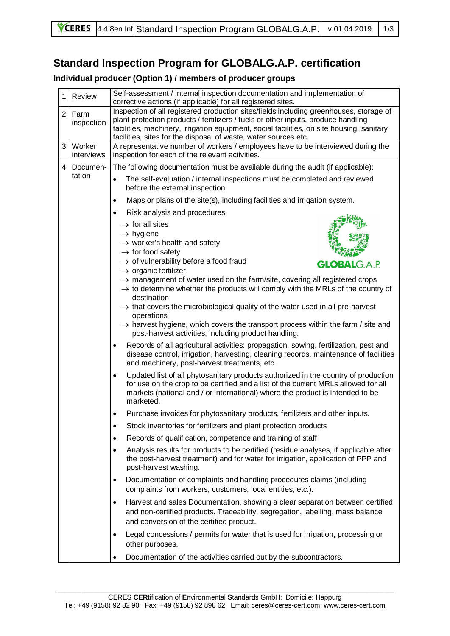## **Standard Inspection Program for GLOBALG.A.P. certification**

## **Individual producer (Option 1) / members of producer groups**

| 1              | Review               | Self-assessment / internal inspection documentation and implementation of<br>corrective actions (if applicable) for all registered sites.                                                                                                                                                                                                   |
|----------------|----------------------|---------------------------------------------------------------------------------------------------------------------------------------------------------------------------------------------------------------------------------------------------------------------------------------------------------------------------------------------|
| 2 <sup>1</sup> | Farm<br>inspection   | Inspection of all registered production sites/fields including greenhouses, storage of<br>plant protection products / fertilizers / fuels or other inputs, produce handling<br>facilities, machinery, irrigation equipment, social facilities, on site housing, sanitary<br>facilities, sites for the disposal of waste, water sources etc. |
| 3 <sup>1</sup> | Worker<br>interviews | A representative number of workers / employees have to be interviewed during the<br>inspection for each of the relevant activities.                                                                                                                                                                                                         |
| $\overline{4}$ | Documen-             | The following documentation must be available during the audit (if applicable):                                                                                                                                                                                                                                                             |
|                | tation               | The self-evaluation / internal inspections must be completed and reviewed<br>$\bullet$<br>before the external inspection.                                                                                                                                                                                                                   |
|                |                      | Maps or plans of the site(s), including facilities and irrigation system.<br>٠                                                                                                                                                                                                                                                              |
|                |                      | Risk analysis and procedures:                                                                                                                                                                                                                                                                                                               |
|                |                      | $\rightarrow$ for all sites                                                                                                                                                                                                                                                                                                                 |
|                |                      | $\rightarrow$ hygiene<br>$\rightarrow$ worker's health and safety                                                                                                                                                                                                                                                                           |
|                |                      | $\rightarrow$ for food safety                                                                                                                                                                                                                                                                                                               |
|                |                      | $\rightarrow$ of vulnerability before a food fraud<br><b>GLOBALG.A.P.</b><br>$\rightarrow$ organic fertilizer                                                                                                                                                                                                                               |
|                |                      | $\rightarrow$ management of water used on the farm/site, covering all registered crops                                                                                                                                                                                                                                                      |
|                |                      | $\rightarrow$ to determine whether the products will comply with the MRLs of the country of<br>destination                                                                                                                                                                                                                                  |
|                |                      | $\rightarrow$ that covers the microbiological quality of the water used in all pre-harvest                                                                                                                                                                                                                                                  |
|                |                      | operations                                                                                                                                                                                                                                                                                                                                  |
|                |                      | $\rightarrow$ harvest hygiene, which covers the transport process within the farm / site and<br>post-harvest activities, including product handling.                                                                                                                                                                                        |
|                |                      | Records of all agricultural activities: propagation, sowing, fertilization, pest and<br>٠<br>disease control, irrigation, harvesting, cleaning records, maintenance of facilities<br>and machinery, post-harvest treatments, etc.                                                                                                           |
|                |                      | Updated list of all phytosanitary products authorized in the country of production<br>$\bullet$<br>for use on the crop to be certified and a list of the current MRLs allowed for all<br>markets (national and / or international) where the product is intended to be<br>marketed.                                                         |
|                |                      | Purchase invoices for phytosanitary products, fertilizers and other inputs.<br>٠                                                                                                                                                                                                                                                            |
|                |                      | Stock inventories for fertilizers and plant protection products                                                                                                                                                                                                                                                                             |
|                |                      | Records of qualification, competence and training of staff<br>$\bullet$                                                                                                                                                                                                                                                                     |
|                |                      | Analysis results for products to be certified (residue analyses, if applicable after<br>٠<br>the post-harvest treatment) and for water for irrigation, application of PPP and<br>post-harvest washing.                                                                                                                                      |
|                |                      | Documentation of complaints and handling procedures claims (including<br>٠<br>complaints from workers, customers, local entities, etc.).                                                                                                                                                                                                    |
|                |                      | Harvest and sales Documentation, showing a clear separation between certified<br>$\bullet$<br>and non-certified products. Traceability, segregation, labelling, mass balance<br>and conversion of the certified product.                                                                                                                    |
|                |                      | Legal concessions / permits for water that is used for irrigation, processing or<br>$\bullet$<br>other purposes.                                                                                                                                                                                                                            |
|                |                      | Documentation of the activities carried out by the subcontractors.<br>$\bullet$                                                                                                                                                                                                                                                             |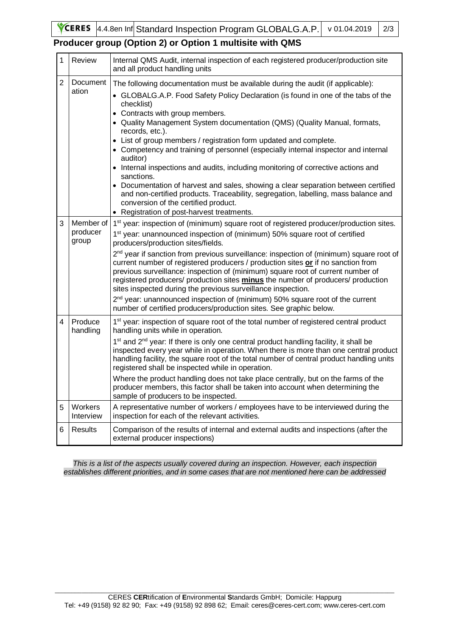**YCERES**  $\vert 4.4.8$ en Inf $\vert$ Standard Inspection Program GLOBALG.A.P. v 01.04.2019 2/3

## **Producer group (Option 2) or Option 1 multisite with QMS**

| $\mathbf{1}$   | <b>Review</b>                  | Internal QMS Audit, internal inspection of each registered producer/production site<br>and all product handling units                                                                                                                                                                                                                                                                                                                                                                                                                                                                                                                                                                                                                                                                                                                                             |
|----------------|--------------------------------|-------------------------------------------------------------------------------------------------------------------------------------------------------------------------------------------------------------------------------------------------------------------------------------------------------------------------------------------------------------------------------------------------------------------------------------------------------------------------------------------------------------------------------------------------------------------------------------------------------------------------------------------------------------------------------------------------------------------------------------------------------------------------------------------------------------------------------------------------------------------|
| $\overline{2}$ | Document<br>ation              | The following documentation must be available during the audit (if applicable):<br>• GLOBALG.A.P. Food Safety Policy Declaration (is found in one of the tabs of the<br>checklist)<br>• Contracts with group members.<br>• Quality Management System documentation (QMS) (Quality Manual, formats,<br>records, etc.).<br>• List of group members / registration form updated and complete.<br>• Competency and training of personnel (especially internal inspector and internal<br>auditor)<br>• Internal inspections and audits, including monitoring of corrective actions and<br>sanctions.<br>• Documentation of harvest and sales, showing a clear separation between certified<br>and non-certified products. Traceability, segregation, labelling, mass balance and<br>conversion of the certified product.<br>• Registration of post-harvest treatments. |
| 3              | Member of<br>producer<br>group | 1 <sup>st</sup> year: inspection of (minimum) square root of registered producer/production sites.<br>1 <sup>st</sup> year: unannounced inspection of (minimum) 50% square root of certified<br>producers/production sites/fields.<br>2 <sup>nd</sup> year if sanction from previous surveillance: inspection of (minimum) square root of<br>current number of registered producers / production sites or if no sanction from<br>previous surveillance: inspection of (minimum) square root of current number of<br>registered producers/ production sites <b>minus</b> the number of producers/ production<br>sites inspected during the previous surveillance inspection.<br>2 <sup>nd</sup> year: unannounced inspection of (minimum) 50% square root of the current<br>number of certified producers/production sites. See graphic below.                     |
| $\overline{4}$ | Produce<br>handling            | 1 <sup>st</sup> year: inspection of square root of the total number of registered central product<br>handling units while in operation.<br>1 <sup>st</sup> and 2 <sup>nd</sup> year: If there is only one central product handling facility, it shall be<br>inspected every year while in operation. When there is more than one central product<br>handling facility, the square root of the total number of central product handling units<br>registered shall be inspected while in operation.<br>Where the product handling does not take place centrally, but on the farms of the<br>producer members, this factor shall be taken into account when determining the<br>sample of producers to be inspected.                                                                                                                                                  |
| 5              | Workers<br>Interview           | A representative number of workers / employees have to be interviewed during the<br>inspection for each of the relevant activities.                                                                                                                                                                                                                                                                                                                                                                                                                                                                                                                                                                                                                                                                                                                               |
| 6              | <b>Results</b>                 | Comparison of the results of internal and external audits and inspections (after the<br>external producer inspections)                                                                                                                                                                                                                                                                                                                                                                                                                                                                                                                                                                                                                                                                                                                                            |

*This is a list of the aspects usually covered during an inspection. However, each inspection establishes different priorities, and in some cases that are not mentioned here can be addressed*